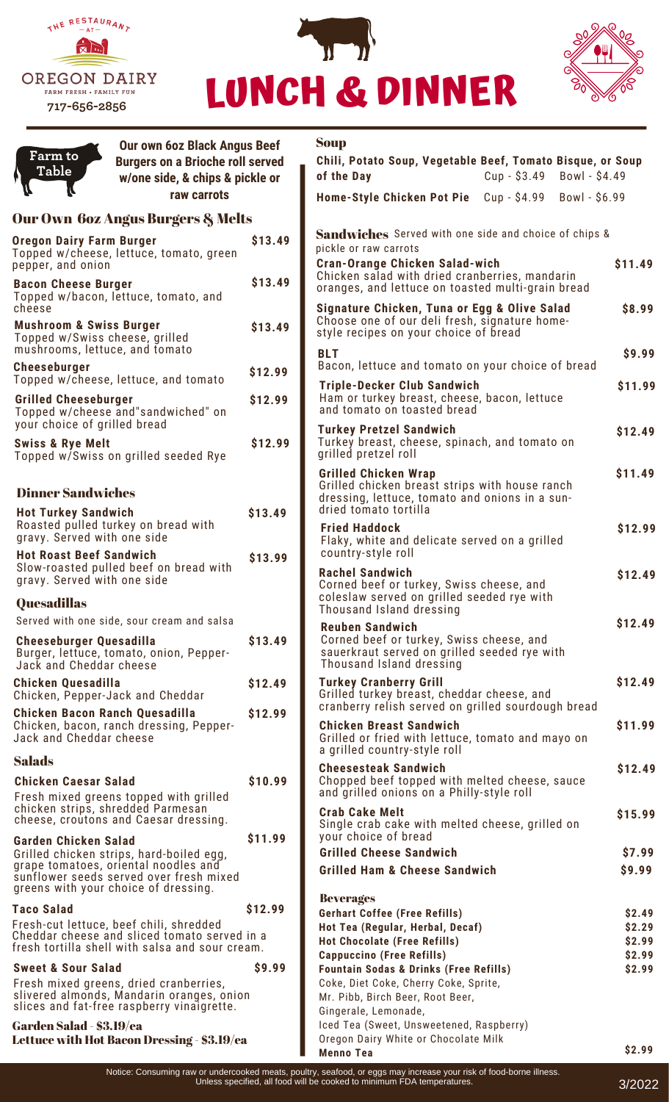





| Farm to                                                                                                                           | <b>Our own 60z Black Angus Beef</b><br><b>Burgers on a Brioche roll served</b><br>w/one side, & chips & pickle or       |                                                   | <b>Soup</b>                                                                                                                                         |               |                  |
|-----------------------------------------------------------------------------------------------------------------------------------|-------------------------------------------------------------------------------------------------------------------------|---------------------------------------------------|-----------------------------------------------------------------------------------------------------------------------------------------------------|---------------|------------------|
| <b>Table</b>                                                                                                                      |                                                                                                                         |                                                   | Chili, Potato Soup, Vegetable Beef, Tomato Bisque, or Soup<br>of the Day                                                                            | $Cup - $3.49$ | Bowl - \$4.49    |
|                                                                                                                                   | raw carrots                                                                                                             |                                                   | Home-Style Chicken Pot Pie Cup - \$4.99                                                                                                             |               | Bowl - $$6.99$   |
|                                                                                                                                   |                                                                                                                         |                                                   |                                                                                                                                                     |               |                  |
| Our Own 6oz Angus Burgers & Melts<br>\$13.49<br><b>Oregon Dairy Farm Burger</b>                                                   |                                                                                                                         |                                                   | <b>Sandwiches</b> Served with one side and choice of chips &                                                                                        |               |                  |
| Topped w/cheese, lettuce, tomato, green<br>pepper, and onion                                                                      |                                                                                                                         |                                                   | pickle or raw carrots<br><b>Cran-Orange Chicken Salad-wich</b>                                                                                      |               | \$11.49          |
| <b>Bacon Cheese Burger</b><br>Topped w/bacon, lettuce, tomato, and<br>cheese                                                      |                                                                                                                         | \$13.49                                           | Chicken salad with dried cranberries, mandarin<br>oranges, and lettuce on toasted multi-grain bread<br>Signature Chicken, Tuna or Egg & Olive Salad | \$8.99        |                  |
| <b>Mushroom &amp; Swiss Burger</b><br>Topped w/Swiss cheese, grilled<br>mushrooms, lettuce, and tomato                            |                                                                                                                         | \$13.49                                           | Choose one of our deli fresh, signature home-<br>style recipes on your choice of bread                                                              |               |                  |
| <b>Cheeseburger</b><br>Topped w/cheese, lettuce, and tomato                                                                       |                                                                                                                         | \$12.99                                           | <b>BLT</b><br>Bacon, lettuce and tomato on your choice of bread                                                                                     |               | \$9.99           |
| <b>Grilled Cheeseburger</b>                                                                                                       | Topped w/cheese and"sandwiched" on                                                                                      | \$12.99                                           | <b>Triple-Decker Club Sandwich</b><br>Ham or turkey breast, cheese, bacon, lettuce<br>and tomato on toasted bread                                   |               | \$11.99          |
| your choice of grilled bread<br><b>Swiss &amp; Rye Melt</b><br>Topped w/Swiss on grilled seeded Rye                               |                                                                                                                         | \$12.99                                           | <b>Turkey Pretzel Sandwich</b><br>Turkey breast, cheese, spinach, and tomato on                                                                     | \$12.49       |                  |
|                                                                                                                                   |                                                                                                                         |                                                   | grilled pretzel roll<br><b>Grilled Chicken Wrap</b>                                                                                                 |               | \$11.49          |
| <b>Dinner Sandwiches</b><br><b>Hot Turkey Sandwich</b><br>Roasted pulled turkey on bread with<br>gravy. Served with one side      |                                                                                                                         |                                                   | Grilled chicken breast strips with house ranch<br>dressing, lettuce, tomato and onions in a sun-                                                    |               |                  |
|                                                                                                                                   |                                                                                                                         | \$13.49                                           | dried tomato tortilla<br><b>Fried Haddock</b>                                                                                                       |               | \$12.99          |
| <b>Hot Roast Beef Sandwich</b><br>Slow-roasted pulled beef on bread with<br>gravy. Served with one side                           |                                                                                                                         | \$13.99                                           | Flaky, white and delicate served on a grilled<br>country-style roll                                                                                 |               |                  |
|                                                                                                                                   |                                                                                                                         |                                                   | <b>Rachel Sandwich</b><br>Corned beef or turkey, Swiss cheese, and<br>coleslaw served on grilled seeded rye with                                    |               | \$12.49          |
| <b>Quesadillas</b>                                                                                                                |                                                                                                                         |                                                   | Thousand Island dressing                                                                                                                            |               |                  |
|                                                                                                                                   | Served with one side, sour cream and salsa                                                                              | \$13.49                                           | <b>Reuben Sandwich</b><br>Corned beef or turkey, Swiss cheese, and                                                                                  |               | \$12.49          |
| <b>Cheeseburger Quesadilla</b><br>Burger, lettuce, tomato, onion, Pepper-<br>Jack and Cheddar cheese                              |                                                                                                                         |                                                   | sauerkraut served on grilled seeded rye with<br>Thousand Island dressing                                                                            |               |                  |
| <b>Chicken Quesadilla</b>                                                                                                         | Chicken, Pepper-Jack and Cheddar                                                                                        | \$12.49                                           | <b>Turkey Cranberry Grill</b><br>Grilled turkey breast, cheddar cheese, and                                                                         |               | \$12.49          |
| <b>Chicken Bacon Ranch Quesadilla</b><br>Chicken, bacon, ranch dressing, Pepper-<br>Jack and Cheddar cheese                       |                                                                                                                         | \$12.99                                           | cranberry relish served on grilled sourdough bread<br><b>Chicken Breast Sandwich</b><br>Grilled or fried with lettuce, tomato and mayo on           |               | \$11.99          |
| <b>Salads</b>                                                                                                                     |                                                                                                                         |                                                   | a grilled country-style roll                                                                                                                        |               |                  |
| <b>Chicken Caesar Salad</b>                                                                                                       | Fresh mixed greens topped with grilled                                                                                  | \$10.99                                           | <b>Cheesesteak Sandwich</b><br>Chopped beef topped with melted cheese, sauce<br>and grilled onions on a Philly-style roll                           |               | \$12.49          |
|                                                                                                                                   | chicken strips, shredded Parmesan<br>cheese, croutons and Caesar dressing.                                              |                                                   | <b>Crab Cake Melt</b><br>Single crab cake with melted cheese, grilled on<br>your choice of bread                                                    |               | \$15.99          |
| <b>Garden Chicken Salad</b>                                                                                                       | Grilled chicken strips, hard-boiled egg,                                                                                | \$11.99                                           | <b>Grilled Cheese Sandwich</b>                                                                                                                      |               | \$7.99           |
|                                                                                                                                   | grape tomatoes, oriental noodles and<br>sunflower seeds served over fresh mixed<br>greens with your choice of dressing. |                                                   | <b>Grilled Ham &amp; Cheese Sandwich</b>                                                                                                            |               | \$9.99           |
| <b>Taco Salad</b>                                                                                                                 |                                                                                                                         | \$12.99                                           | <b>Beverages</b><br><b>Gerhart Coffee (Free Refills)</b>                                                                                            |               | \$2.49           |
|                                                                                                                                   | Fresh-cut lettuce, beef chili, shredded                                                                                 |                                                   | Hot Tea (Regular, Herbal, Decaf)                                                                                                                    |               | \$2.29           |
| Cheddar cheese and sliced tomato served in a<br>fresh tortilla shell with salsa and sour cream.                                   |                                                                                                                         |                                                   | <b>Hot Chocolate (Free Refills)</b><br><b>Cappuccino (Free Refills)</b>                                                                             |               | \$2.99<br>\$2.99 |
| \$9.99<br><b>Sweet &amp; Sour Salad</b>                                                                                           |                                                                                                                         | <b>Fountain Sodas &amp; Drinks (Free Refills)</b> |                                                                                                                                                     | \$2.99        |                  |
| Fresh mixed greens, dried cranberries,<br>slivered almonds, Mandarin oranges, onion<br>slices and fat-free raspberry vinaigrette. |                                                                                                                         |                                                   | Coke, Diet Coke, Cherry Coke, Sprite,<br>Mr. Pibb, Birch Beer, Root Beer,                                                                           |               |                  |
|                                                                                                                                   |                                                                                                                         |                                                   | Gingerale, Lemonade,                                                                                                                                |               |                  |
| Garden Salad - \$3.19/ea<br>Lettuce with Hot Bacon Dressing - \$3.19/ea                                                           |                                                                                                                         |                                                   | Iced Tea (Sweet, Unsweetened, Raspberry)<br>Oregon Dairy White or Chocolate Milk                                                                    |               |                  |
|                                                                                                                                   |                                                                                                                         |                                                   | <b>Menno Tea</b>                                                                                                                                    |               | \$2.99           |